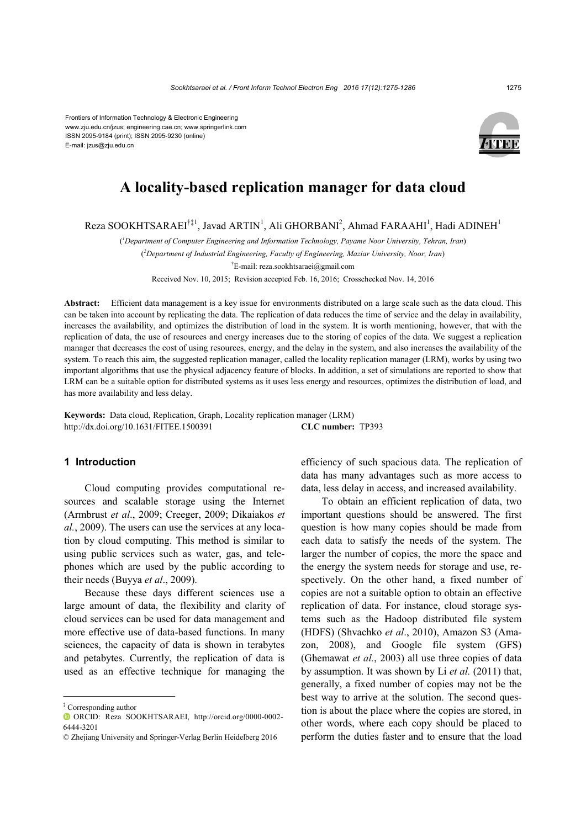Frontiers of Information Technology & Electronic Engineering www.zju.edu.cn/jzus; engineering.cae.cn; www.springerlink.com ISSN 2095-9184 (print); ISSN 2095-9230 (online) E-mail: jzus@zju.edu.cn



# **A locality-based replication manager for data cloud**

Reza SOOKHTSARAEI $^{\dagger\ddagger 1}$ , Javad ARTIN $^{\dagger}$ , Ali GHORBANI $^2$ , Ahmad FARAAHI $^{\dagger}$ , Hadi ADINEH $^{\dagger}$ 

( *1 Department of Computer Engineering and Information Technology, Payame Noor University, Tehran, Iran*) ( *2 Department of Industrial Engineering, Faculty of Engineering, Maziar University, Noor, Iran*) † E-mail: reza.sookhtsaraei@gmail.com

Received Nov. 10, 2015; Revision accepted Feb. 16, 2016; Crosschecked Nov. 14, 2016

**Abstract:** Efficient data management is a key issue for environments distributed on a large scale such as the data cloud. This can be taken into account by replicating the data. The replication of data reduces the time of service and the delay in availability, increases the availability, and optimizes the distribution of load in the system. It is worth mentioning, however, that with the replication of data, the use of resources and energy increases due to the storing of copies of the data. We suggest a replication manager that decreases the cost of using resources, energy, and the delay in the system, and also increases the availability of the system. To reach this aim, the suggested replication manager, called the locality replication manager (LRM), works by using two important algorithms that use the physical adjacency feature of blocks. In addition, a set of simulations are reported to show that LRM can be a suitable option for distributed systems as it uses less energy and resources, optimizes the distribution of load, and has more availability and less delay.

**Keywords:** Data cloud, Replication, Graph, Locality replication manager (LRM) http://dx.doi.org/10.1631/FITEE.1500391 **CLC number:** TP393

# **1 Introduction**

Cloud computing provides computational resources and scalable storage using the Internet (Armbrust *et al*., 2009; Creeger, 2009; Dikaiakos *et al.*, 2009). The users can use the services at any location by cloud computing. This method is similar to using public services such as water, gas, and telephones which are used by the public according to their needs (Buyya *et al*., 2009).

Because these days different sciences use a large amount of data, the flexibility and clarity of cloud services can be used for data management and more effective use of data-based functions. In many sciences, the capacity of data is shown in terabytes and petabytes. Currently, the replication of data is used as an effective technique for managing the

efficiency of such spacious data. The replication of data has many advantages such as more access to data, less delay in access, and increased availability.

To obtain an efficient replication of data, two important questions should be answered. The first question is how many copies should be made from each data to satisfy the needs of the system. The larger the number of copies, the more the space and the energy the system needs for storage and use, respectively. On the other hand, a fixed number of copies are not a suitable option to obtain an effective replication of data. For instance, cloud storage systems such as the Hadoop distributed file system (HDFS) (Shvachko *et al*., 2010), Amazon S3 (Amazon, 2008), and Google file system (GFS) (Ghemawat *et al.*, 2003) all use three copies of data by assumption. It was shown by Li *et al.* (2011) that, generally, a fixed number of copies may not be the best way to arrive at the solution. The second question is about the place where the copies are stored, in other words, where each copy should be placed to perform the duties faster and to ensure that the load

<sup>‡</sup> Corresponding author

ORCID: Reza SOOKHTSARAEI, [http://orcid.org/0](http://orcid.org/0000-0002-6574-1542)000-0002- 6444-3201

<sup>©</sup> Zhejiang University and Springer-Verlag Berlin Heidelberg 2016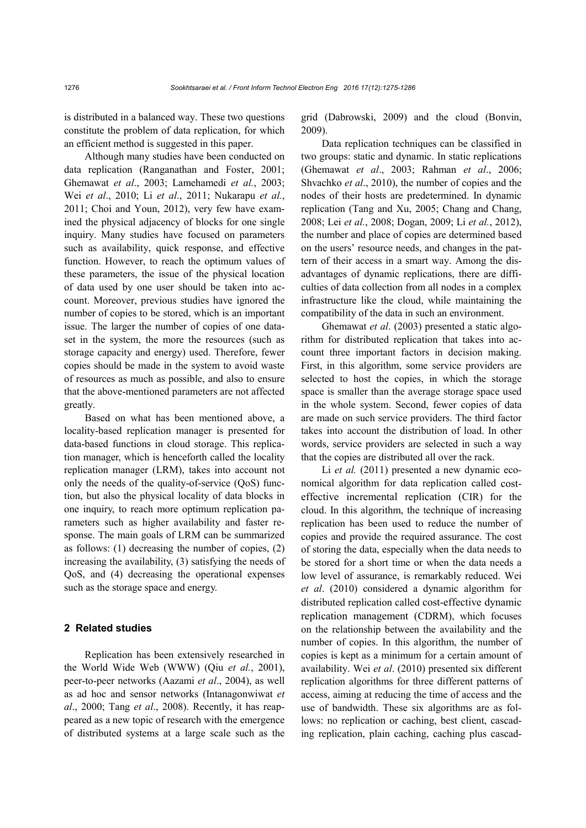is distributed in a balanced way. These two questions constitute the problem of data replication, for which an efficient method is suggested in this paper.

Although many studies have been conducted on data replication (Ranganathan and Foster, 2001; Ghemawat *et al*., 2003; Lamehamedi *et al.*, 2003; Wei *et al*., 2010; Li *et al*., 2011; Nukarapu *et al.*, 2011; Choi and Youn, 2012), very few have examined the physical adjacency of blocks for one single inquiry. Many studies have focused on parameters such as availability, quick response, and effective function. However, to reach the optimum values of these parameters, the issue of the physical location of data used by one user should be taken into account. Moreover, previous studies have ignored the number of copies to be stored, which is an important issue. The larger the number of copies of one dataset in the system, the more the resources (such as storage capacity and energy) used. Therefore, fewer copies should be made in the system to avoid waste of resources as much as possible, and also to ensure that the above-mentioned parameters are not affected greatly.

Based on what has been mentioned above, a locality-based replication manager is presented for data-based functions in cloud storage. This replication manager, which is henceforth called the locality replication manager (LRM), takes into account not only the needs of the quality-of-service (QoS) function, but also the physical locality of data blocks in one inquiry, to reach more optimum replication parameters such as higher availability and faster response. The main goals of LRM can be summarized as follows: (1) decreasing the number of copies, (2) increasing the availability, (3) satisfying the needs of QoS, and (4) decreasing the operational expenses such as the storage space and energy.

#### **2 Related studies**

Replication has been extensively researched in the World Wide Web (WWW) (Qiu *et al.*, 2001), peer-to-peer networks (Aazami *et al*., 2004), as well as ad hoc and sensor networks (Intanagonwiwat *et al*., 2000; Tang *et al*., 2008). Recently, it has reappeared as a new topic of research with the emergence of distributed systems at a large scale such as the grid (Dabrowski, 2009) and the cloud (Bonvin, 2009).

Data replication techniques can be classified in two groups: static and dynamic. In static replications (Ghemawat *et al*., 2003; Rahman *et al*., 2006; Shvachko *et al*., 2010), the number of copies and the nodes of their hosts are predetermined. In dynamic replication (Tang and Xu, 2005; Chang and Chang, 2008; Lei *et al.*, 2008; Dogan, 2009; Li *et al.*, 2012), the number and place of copies are determined based on the users' resource needs, and changes in the pattern of their access in a smart way. Among the disadvantages of dynamic replications, there are difficulties of data collection from all nodes in a complex infrastructure like the cloud, while maintaining the compatibility of the data in such an environment.

Ghemawat *et al*. (2003) presented a static algorithm for distributed replication that takes into account three important factors in decision making. First, in this algorithm, some service providers are selected to host the copies, in which the storage space is smaller than the average storage space used in the whole system. Second, fewer copies of data are made on such service providers. The third factor takes into account the distribution of load. In other words, service providers are selected in such a way that the copies are distributed all over the rack.

Li *et al.* (2011) presented a new dynamic economical algorithm for data replication called costeffective incremental replication (CIR) for the cloud. In this algorithm, the technique of increasing replication has been used to reduce the number of copies and provide the required assurance. The cost of storing the data, especially when the data needs to be stored for a short time or when the data needs a low level of assurance, is remarkably reduced. Wei *et al*. (2010) considered a dynamic algorithm for distributed replication called cost-effective dynamic replication management (CDRM), which focuses on the relationship between the availability and the number of copies. In this algorithm, the number of copies is kept as a minimum for a certain amount of availability. Wei *et al*. (2010) presented six different replication algorithms for three different patterns of access, aiming at reducing the time of access and the use of bandwidth. These six algorithms are as follows: no replication or caching, best client, cascading replication, plain caching, caching plus cascad-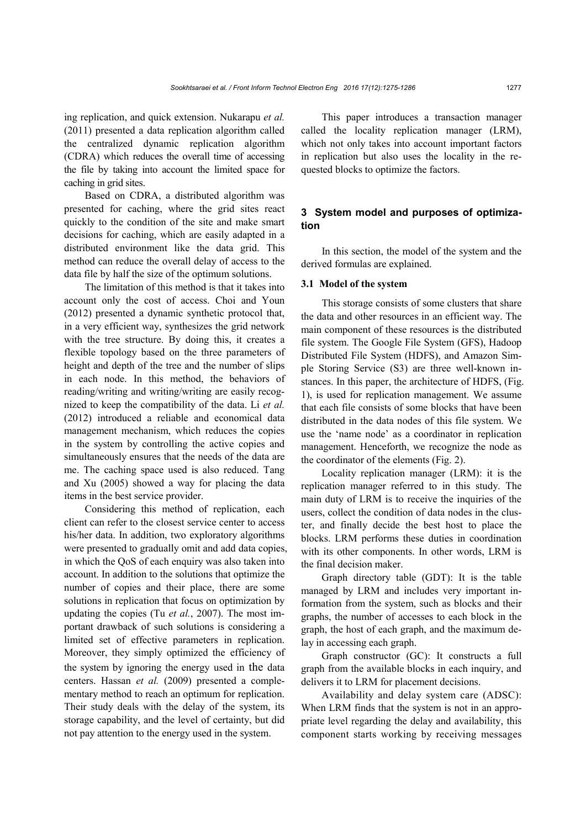ing replication, and quick extension. Nukarapu *et al.* (2011) presented a data replication algorithm called the centralized dynamic replication algorithm (CDRA) which reduces the overall time of accessing the file by taking into account the limited space for caching in grid sites.

Based on CDRA, a distributed algorithm was presented for caching, where the grid sites react quickly to the condition of the site and make smart decisions for caching, which are easily adapted in a distributed environment like the data grid. This method can reduce the overall delay of access to the data file by half the size of the optimum solutions.

The limitation of this method is that it takes into account only the cost of access. Choi and Youn (2012) presented a dynamic synthetic protocol that, in a very efficient way, synthesizes the grid network with the tree structure. By doing this, it creates a flexible topology based on the three parameters of height and depth of the tree and the number of slips in each node. In this method, the behaviors of reading/writing and writing/writing are easily recognized to keep the compatibility of the data. Li *et al.* (2012) introduced a reliable and economical data management mechanism, which reduces the copies in the system by controlling the active copies and simultaneously ensures that the needs of the data are me. The caching space used is also reduced. Tang and Xu (2005) showed a way for placing the data items in the best service provider.

Considering this method of replication, each client can refer to the closest service center to access his/her data. In addition, two exploratory algorithms were presented to gradually omit and add data copies, in which the QoS of each enquiry was also taken into account. In addition to the solutions that optimize the number of copies and their place, there are some solutions in replication that focus on optimization by updating the copies (Tu *et al.*, 2007). The most important drawback of such solutions is considering a limited set of effective parameters in replication. Moreover, they simply optimized the efficiency of the system by ignoring the energy used in the data centers. Hassan *et al.* (2009) presented a complementary method to reach an optimum for replication. Their study deals with the delay of the system, its storage capability, and the level of certainty, but did not pay attention to the energy used in the system.

This paper introduces a transaction manager called the locality replication manager (LRM), which not only takes into account important factors in replication but also uses the locality in the requested blocks to optimize the factors.

# **3 System model and purposes of optimization**

In this section, the model of the system and the derived formulas are explained.

## **3.1 Model of the system**

This storage consists of some clusters that share the data and other resources in an efficient way. The main component of these resources is the distributed file system. The Google File System (GFS), Hadoop Distributed File System (HDFS), and Amazon Simple Storing Service (S3) are three well-known instances. In this paper, the architecture of HDFS, (Fig. 1), is used for replication management. We assume that each file consists of some blocks that have been distributed in the data nodes of this file system. We use the 'name node' as a coordinator in replication management. Henceforth, we recognize the node as the coordinator of the elements (Fig. 2).

Locality replication manager (LRM): it is the replication manager referred to in this study. The main duty of LRM is to receive the inquiries of the users, collect the condition of data nodes in the cluster, and finally decide the best host to place the blocks. LRM performs these duties in coordination with its other components. In other words, LRM is the final decision maker.

Graph directory table (GDT): It is the table managed by LRM and includes very important information from the system, such as blocks and their graphs, the number of accesses to each block in the graph, the host of each graph, and the maximum delay in accessing each graph.

Graph constructor (GC): It constructs a full graph from the available blocks in each inquiry, and delivers it to LRM for placement decisions.

Availability and delay system care (ADSC): When LRM finds that the system is not in an appropriate level regarding the delay and availability, this component starts working by receiving messages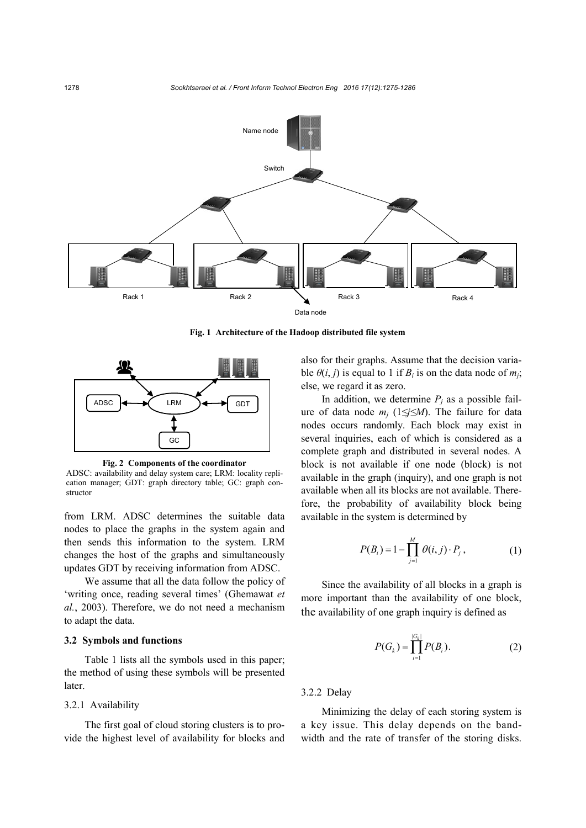

**Fig. 1 Architecture of the Hadoop distributed file system**



**Fig. 2 Components of the coordinator**

ADSC: availability and delay system care; LRM: locality replication manager; GDT: graph directory table; GC: graph constructor

from LRM. ADSC determines the suitable data nodes to place the graphs in the system again and then sends this information to the system. LRM changes the host of the graphs and simultaneously updates GDT by receiving information from ADSC.

We assume that all the data follow the policy of 'writing once, reading several times' (Ghemawat *et al.*, 2003). Therefore, we do not need a mechanism to adapt the data.

## **3.2 Symbols and functions**

Table 1 lists all the symbols used in this paper; the method of using these symbols will be presented later.

## 3.2.1 Availability

The first goal of cloud storing clusters is to provide the highest level of availability for blocks and also for their graphs. Assume that the decision variable  $\theta(i, j)$  is equal to 1 if  $B_i$  is on the data node of  $m_i$ ; else, we regard it as zero.

In addition, we determine  $P_i$  as a possible failure of data node *mj* (1*≤j≤M*). The failure for data nodes occurs randomly. Each block may exist in several inquiries, each of which is considered as a complete graph and distributed in several nodes. A block is not available if one node (block) is not available in the graph (inquiry), and one graph is not available when all its blocks are not available. Therefore, the probability of availability block being available in the system is determined by

$$
P(B_i) = 1 - \prod_{j=1}^{M} \theta(i, j) \cdot P_j, \qquad (1)
$$

Since the availability of all blocks in a graph is more important than the availability of one block, the availability of one graph inquiry is defined as

$$
P(G_k) = \prod_{i=1}^{|G_k|} P(B_i).
$$
 (2)

#### 3.2.2 Delay

Minimizing the delay of each storing system is a key issue. This delay depends on the bandwidth and the rate of transfer of the storing disks.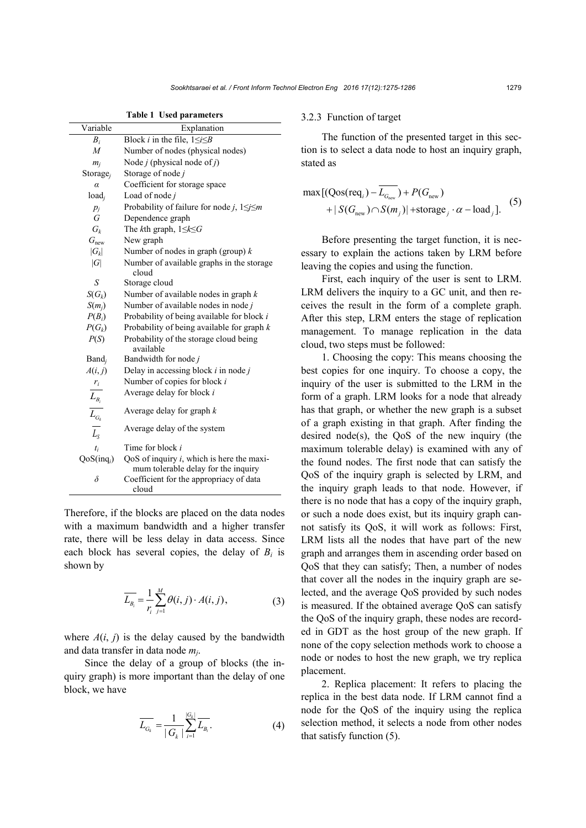**Table 1 Used parameters**

| Variable                  | Explanation                                                                         |
|---------------------------|-------------------------------------------------------------------------------------|
| $B_i$                     | Block <i>i</i> in the file, $1 \le i \le B$                                         |
| $\overline{M}$            | Number of nodes (physical nodes)                                                    |
| $m_i$                     | Node $j$ (physical node of $j$ )                                                    |
| Storage <sub>i</sub>      | Storage of node j                                                                   |
| $\alpha$                  | Coefficient for storage space                                                       |
| $load_i$                  | Load of node j                                                                      |
| $p_j$                     | Probability of failure for node j, $1 \le j \le m$                                  |
| G                         | Dependence graph                                                                    |
| $G_k$                     | The kth graph, $1 \leq k \leq G$                                                    |
| G <sub>new</sub>          | New graph                                                                           |
| $ G_k $                   | Number of nodes in graph (group) $k$                                                |
| G                         | Number of available graphs in the storage<br>cloud                                  |
| S                         | Storage cloud                                                                       |
| $S(G_k)$                  | Number of available nodes in graph $k$                                              |
| $S(m_i)$                  | Number of available nodes in node j                                                 |
| $P(B_i)$                  | Probability of being available for block i                                          |
| $P(G_k)$                  | Probability of being available for graph $k$                                        |
| P(S)                      | Probability of the storage cloud being<br>available                                 |
| Band <sub>i</sub>         | Bandwidth for node j                                                                |
| A(i, j)                   | Delay in accessing block $i$ in node $j$                                            |
| $r_i$                     | Number of copies for block i                                                        |
|                           | Average delay for block i                                                           |
| $\frac{L_{B_i}}{L_{G_k}}$ | Average delay for graph $k$                                                         |
|                           | Average delay of the system                                                         |
| $t_i$                     | Time for block i                                                                    |
| QoS(inq <sub>i</sub> )    | QoS of inquiry $i$ , which is here the maxi-<br>mum tolerable delay for the inquiry |
| $\delta$                  | Coefficient for the appropriacy of data<br>cloud                                    |

Therefore, if the blocks are placed on the data nodes with a maximum bandwidth and a higher transfer rate, there will be less delay in data access. Since each block has several copies, the delay of  $B_i$  is shown by

$$
\overline{L_{B_i}} = \frac{1}{r_i} \sum_{j=1}^{M} \theta(i, j) \cdot A(i, j), \tag{3}
$$

where  $A(i, j)$  is the delay caused by the bandwidth and data transfer in data node *mj*.

Since the delay of a group of blocks (the inquiry graph) is more important than the delay of one block, we have

$$
\overline{L_{G_k}} = \frac{1}{|G_k|} \sum_{i=1}^{|G_k|} \overline{L_{B_i}}.
$$
\n(4)

#### 3.2.3 Function of target

The function of the presented target in this section is to select a data node to host an inquiry graph, stated as

$$
\max[(\text{Qos}(\text{req}_i) - \overline{L_{G_{\text{new}}}}) + P(G_{\text{new}}) + (S(G_{\text{new}}) - S(m_j)) + \text{storage}_j \cdot \alpha - \text{load}_j].
$$
 (5)

Before presenting the target function, it is necessary to explain the actions taken by LRM before leaving the copies and using the function.

First, each inquiry of the user is sent to LRM. LRM delivers the inquiry to a GC unit, and then receives the result in the form of a complete graph. After this step, LRM enters the stage of replication management. To manage replication in the data cloud, two steps must be followed:

1. Choosing the copy: This means choosing the best copies for one inquiry. To choose a copy, the inquiry of the user is submitted to the LRM in the form of a graph. LRM looks for a node that already has that graph, or whether the new graph is a subset of a graph existing in that graph. After finding the desired node(s), the QoS of the new inquiry (the maximum tolerable delay) is examined with any of the found nodes. The first node that can satisfy the QoS of the inquiry graph is selected by LRM, and the inquiry graph leads to that node. However, if there is no node that has a copy of the inquiry graph, or such a node does exist, but its inquiry graph cannot satisfy its QoS, it will work as follows: First, LRM lists all the nodes that have part of the new graph and arranges them in ascending order based on QoS that they can satisfy; Then, a number of nodes that cover all the nodes in the inquiry graph are selected, and the average QoS provided by such nodes is measured. If the obtained average QoS can satisfy the QoS of the inquiry graph, these nodes are recorded in GDT as the host group of the new graph. If none of the copy selection methods work to choose a node or nodes to host the new graph, we try replica placement.

2. Replica placement: It refers to placing the replica in the best data node. If LRM cannot find a node for the QoS of the inquiry using the replica selection method, it selects a node from other nodes that satisfy function (5).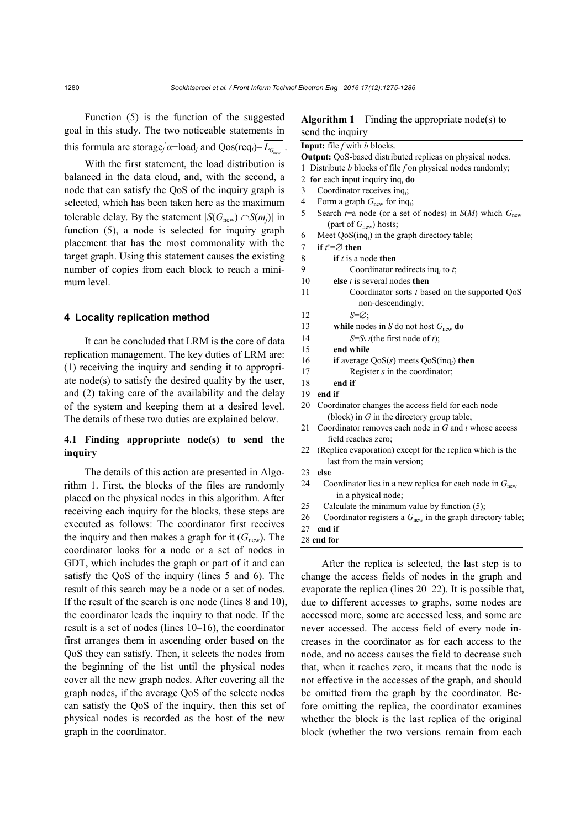Function (5) is the function of the suggested goal in this study. The two noticeable statements in this formula are storage<sub>*j*</sub>  $\alpha$ </sub>-load<sub>*j*</sub> and Qos(req<sub>*i*</sub>)–  $\overline{L_{G_{\text{new}}}}$ .

With the first statement, the load distribution is balanced in the data cloud, and, with the second, a node that can satisfy the QoS of the inquiry graph is selected, which has been taken here as the maximum tolerable delay. By the statement  $|S(G_{\text{new}}) \cap S(m_i)|$  in function (5), a node is selected for inquiry graph placement that has the most commonality with the target graph. Using this statement causes the existing number of copies from each block to reach a minimum level.

## **4 Locality replication method**

It can be concluded that LRM is the core of data replication management. The key duties of LRM are: (1) receiving the inquiry and sending it to appropriate node(s) to satisfy the desired quality by the user, and (2) taking care of the availability and the delay of the system and keeping them at a desired level. The details of these two duties are explained below.

# **4.1 Finding appropriate node(s) to send the inquiry**

The details of this action are presented in Algorithm 1. First, the blocks of the files are randomly placed on the physical nodes in this algorithm. After receiving each inquiry for the blocks, these steps are executed as follows: The coordinator first receives the inquiry and then makes a graph for it  $(G<sub>new</sub>)$ . The coordinator looks for a node or a set of nodes in GDT, which includes the graph or part of it and can satisfy the QoS of the inquiry (lines 5 and 6). The result of this search may be a node or a set of nodes. If the result of the search is one node (lines 8 and 10), the coordinator leads the inquiry to that node. If the result is a set of nodes (lines 10–16), the coordinator first arranges them in ascending order based on the QoS they can satisfy. Then, it selects the nodes from the beginning of the list until the physical nodes cover all the new graph nodes. After covering all the graph nodes, if the average QoS of the selecte nodes can satisfy the QoS of the inquiry, then this set of physical nodes is recorded as the host of the new graph in the coordinator.

# **Algorithm 1** Finding the appropriate node(s) to send the inquiry

| $\sim$ $\sim$ $\sim$ $\sim$ $\sim$ $\sim$ $\sim$ $\sim$                      |  |  |
|------------------------------------------------------------------------------|--|--|
| <b>Input:</b> file $f$ with $b$ blocks.                                      |  |  |
| Output: QoS-based distributed replicas on physical nodes.                    |  |  |
| Distribute $b$ blocks of file $f$ on physical nodes randomly;<br>1           |  |  |
| for each input inquiry inq <sub>i</sub> do<br>2                              |  |  |
| 3<br>Coordinator receives $inq_i$ ;                                          |  |  |
| 4<br>Form a graph $G_{\text{new}}$ for inq <sub>i</sub> ;                    |  |  |
| 5<br>Search $t=a$ node (or a set of nodes) in $S(M)$ which $G_{\text{new}}$  |  |  |
| (part of $Gnew$ ) hosts;                                                     |  |  |
| Meet $QoS(inqi)$ in the graph directory table;                               |  |  |
| if $t = \emptyset$ then<br>7                                                 |  |  |
| 8<br>if $t$ is a node then                                                   |  |  |
| 9<br>Coordinator redirects inq <sub>i</sub> to t;                            |  |  |
| else $t$ is several nodes then<br>10                                         |  |  |
| Coordinator sorts $t$ based on the supported $QoS$<br>11                     |  |  |
| non-descendingly;                                                            |  |  |
| 12<br>$S=\varnothing$ :                                                      |  |  |
| 13<br>while nodes in S do not host $G_{\text{new}}$ do                       |  |  |
| 14<br>$S = S \cup$ (the first node of t);                                    |  |  |
| end while<br>15                                                              |  |  |
| 16<br>if average $QoS(s)$ meets $QoS(inqi)$ then                             |  |  |
| 17<br>Register $s$ in the coordinator;                                       |  |  |
| 18<br>end if                                                                 |  |  |
| 19<br>end if                                                                 |  |  |
| Coordinator changes the access field for each node<br>20                     |  |  |
| (block) in $G$ in the directory group table;                                 |  |  |
| Coordinator removes each node in G and t whose access<br>21                  |  |  |
| field reaches zero;                                                          |  |  |
| 22<br>(Replica evaporation) except for the replica which is the              |  |  |
| last from the main version;                                                  |  |  |
| 23<br>else                                                                   |  |  |
| 24<br>Coordinator lies in a new replica for each node in $G_{\text{new}}$    |  |  |
| in a physical node;                                                          |  |  |
| Calculate the minimum value by function (5);<br>25                           |  |  |
| Coordinator registers a $G_{\text{new}}$ in the graph directory table;<br>26 |  |  |
| つフ<br>and if.                                                                |  |  |

**end if** 28 **end for**

After the replica is selected, the last step is to change the access fields of nodes in the graph and evaporate the replica (lines 20–22). It is possible that, due to different accesses to graphs, some nodes are accessed more, some are accessed less, and some are never accessed. The access field of every node increases in the coordinator as for each access to the node, and no access causes the field to decrease such that, when it reaches zero, it means that the node is not effective in the accesses of the graph, and should be omitted from the graph by the coordinator. Before omitting the replica, the coordinator examines whether the block is the last replica of the original block (whether the two versions remain from each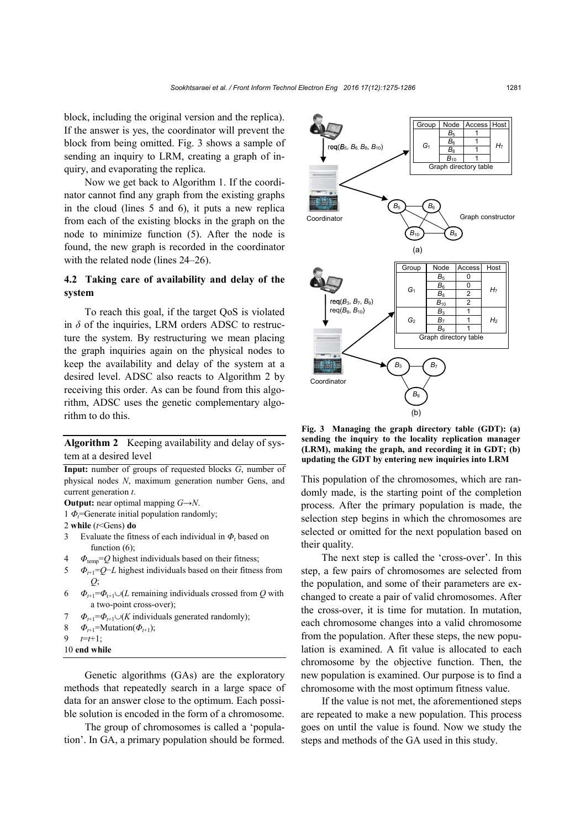block, including the original version and the replica). If the answer is yes, the coordinator will prevent the block from being omitted. Fig. 3 shows a sample of sending an inquiry to LRM, creating a graph of inquiry, and evaporating the replica.

Now we get back to Algorithm 1. If the coordinator cannot find any graph from the existing graphs in the cloud (lines 5 and 6), it puts a new replica from each of the existing blocks in the graph on the node to minimize function (5). After the node is found, the new graph is recorded in the coordinator with the related node (lines 24–26).

# **4.2 Taking care of availability and delay of the system**

To reach this goal, if the target QoS is violated in  $\delta$  of the inquiries, LRM orders ADSC to restructure the system. By restructuring we mean placing the graph inquiries again on the physical nodes to keep the availability and delay of the system at a desired level. ADSC also reacts to Algorithm 2 by receiving this order. As can be found from this algorithm, ADSC uses the genetic complementary algorithm to do this.

**Algorithm 2** Keeping availability and delay of system at a desired level

**Input:** number of groups of requested blocks *G*, number of physical nodes *N*, maximum generation number Gens, and current generation *t*.

**Output:** near optimal mapping *G*→*N*.

- 1 *Φ*<sup> $=$ </sup>Generate initial population randomly;
- 2 **while** (*t*<Gens) **do**
- 3 Evaluate the fitness of each individual in *Φ<sup>t</sup>* based on function  $(6)$ :
- 4 *Φ*temp=*Q* highest individuals based on their fitness;
- 5 *Φt*+1=*Q*−*L* highest individuals based on their fitness from *Q*;
- 6  $\Phi_{t+1} = \Phi_{t+1} \cup (L \text{ remaining individuals crossed from } Q \text{ with } C)$ a two-point cross-over);
- 7  $\Phi_{t+1} = \Phi_{t+1} \cup (K \text{ individuals generated randomly});$
- 8  $\Phi_{t+1}$ =Mutation( $\Phi_{t+1}$ );
- 9  $t=t+1$ :
- 10 **end while**

Genetic algorithms (GAs) are the exploratory methods that repeatedly search in a large space of data for an answer close to the optimum. Each possible solution is encoded in the form of a chromosome.

The group of chromosomes is called a 'population'. In GA, a primary population should be formed.



**Fig. 3 Managing the graph directory table (GDT): (a) sending the inquiry to the locality replication manager (LRM), making the graph, and recording it in GDT; (b) updating the GDT by entering new inquiries into LRM**

This population of the chromosomes, which are randomly made, is the starting point of the completion process. After the primary population is made, the selection step begins in which the chromosomes are selected or omitted for the next population based on their quality.

The next step is called the 'cross-over'. In this step, a few pairs of chromosomes are selected from the population, and some of their parameters are exchanged to create a pair of valid chromosomes. After the cross-over, it is time for mutation. In mutation, each chromosome changes into a valid chromosome from the population. After these steps, the new population is examined. A fit value is allocated to each chromosome by the objective function. Then, the new population is examined. Our purpose is to find a chromosome with the most optimum fitness value.

If the value is not met, the aforementioned steps are repeated to make a new population. This process goes on until the value is found. Now we study the steps and methods of the GA used in this study.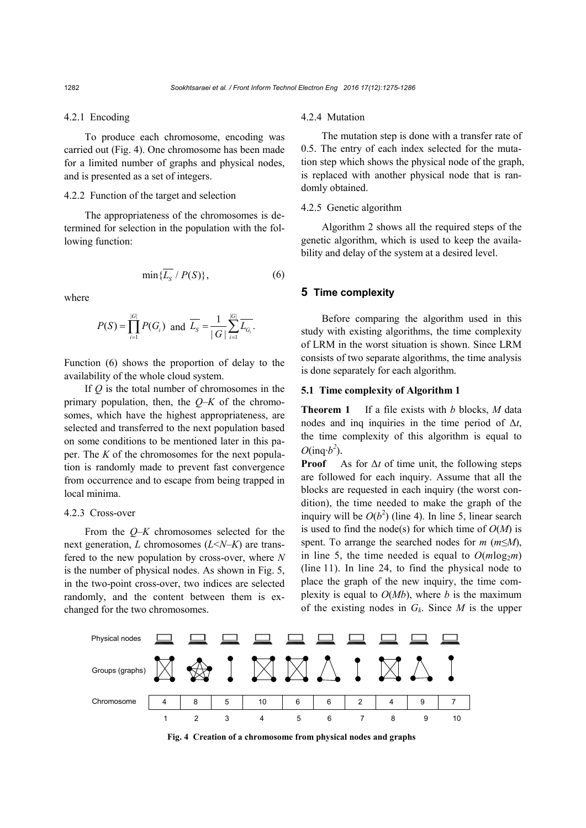#### 4.2.1 Encoding

To produce each chromosome, encoding was carried out (Fig. 4). One chromosome has been made for a limited number of graphs and physical nodes, and is presented as a set of integers.

#### 4.2.2 Function of the target and selection

The appropriateness of the chromosomes is determined for selection in the population with the following function:

$$
\min\{\overline{L_s}\,/\,P(S)\},\qquad(6)
$$

where

$$
P(S) = \prod_{i=1}^{|G|} P(G_i) \text{ and } \overline{L_s} = \frac{1}{|G|} \sum_{i=1}^{|G|} \overline{L_{G_i}}.
$$

Function (6) shows the proportion of delay to the availability of the whole cloud system.

If *Q* is the total number of chromosomes in the primary population, then, the *Q*–*K* of the chromosomes, which have the highest appropriateness, are selected and transferred to the next population based on some conditions to be mentioned later in this paper. The *K* of the chromosomes for the next population is randomly made to prevent fast convergence from occurrence and to escape from being trapped in local minima.

## 4.2.3 Cross-over

From the *Q*–*K* chromosomes selected for the next generation, *L* chromosomes (*L*<*N*–*K*) are transfered to the new population by cross-over, where *N* is the number of physical nodes. As shown in Fig. 5, in the two-point cross-over, two indices are selected randomly, and the content between them is exchanged for the two chromosomes.

#### 4.2.4 Mutation

The mutation step is done with a transfer rate of 0.5. The entry of each index selected for the mutation step which shows the physical node of the graph, is replaced with another physical node that is randomly obtained.

#### 4.2.5 Genetic algorithm

Algorithm 2 shows all the required steps of the genetic algorithm, which is used to keep the availability and delay of the system at a desired level.

## **5 Time complexity**

Before comparing the algorithm used in this study with existing algorithms, the time complexity of LRM in the worst situation is shown. Since LRM consists of two separate algorithms, the time analysis is done separately for each algorithm.

#### **5.1 Time complexity of Algorithm 1**

**Theorem 1** If a file exists with *b* blocks, *M* data nodes and inq inquiries in the time period of  $\Delta t$ , the time complexity of this algorithm is equal to  $O(\text{inq}\cdot b^2)$ .

**Proof** As for  $\Delta t$  of time unit, the following steps are followed for each inquiry. Assume that all the blocks are requested in each inquiry (the worst condition), the time needed to make the graph of the inquiry will be  $O(b^2)$  (line 4). In line 5, linear search is used to find the node(s) for which time of  $O(M)$  is spent. To arrange the searched nodes for *m* (*m*≤*M*), in line 5, the time needed is equal to  $O(m \log_2 m)$ (line 11). In line 24, to find the physical node to place the graph of the new inquiry, the time complexity is equal to  $O(Mb)$ , where *b* is the maximum of the existing nodes in  $G_k$ . Since M is the upper



**Fig. 4 Creation of a chromosome from physical nodes and graphs**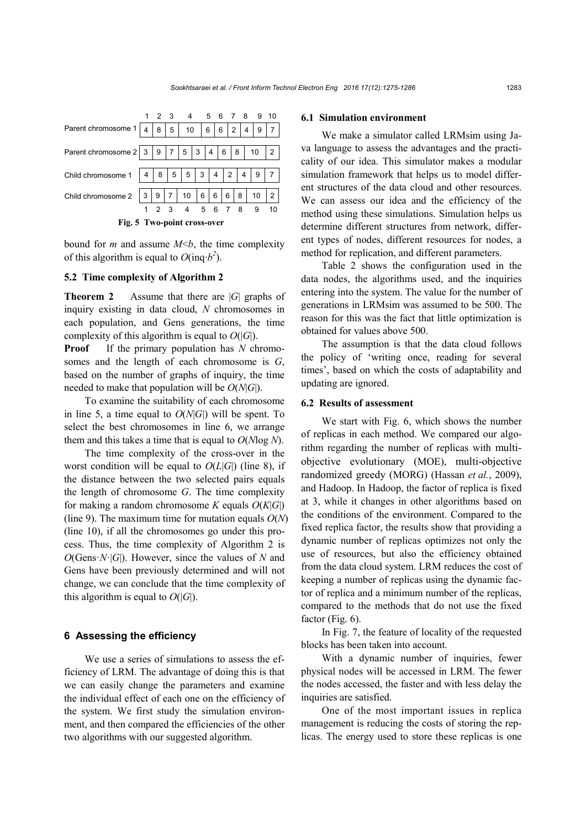

bound for *m* and assume *M*<*b*, the time complexity of this algorithm is equal to  $O(\text{inq}\cdot b^2)$ .

# **5.2 Time complexity of Algorithm 2**

**Theorem 2** Assume that there are |*G*| graphs of inquiry existing in data cloud, *N* chromosomes in each population, and Gens generations, the time complexity of this algorithm is equal to  $O(|G|)$ .

**Proof** If the primary population has *N* chromosomes and the length of each chromosome is *G*, based on the number of graphs of inquiry, the time needed to make that population will be  $O(N|G|)$ .

To examine the suitability of each chromosome in line 5, a time equal to  $O(N|G|)$  will be spent. To select the best chromosomes in line 6, we arrange them and this takes a time that is equal to *O*(*N*log *N*).

The time complexity of the cross-over in the worst condition will be equal to  $O(L|G|)$  (line 8), if the distance between the two selected pairs equals the length of chromosome *G*. The time complexity for making a random chromosome *K* equals *O*(*K*|*G*|) (line 9). The maximum time for mutation equals *O*(*N*) (line 10), if all the chromosomes go under this process. Thus, the time complexity of Algorithm 2 is *O*(Gens·*N*·|*G*|). However, since the values of *N* and Gens have been previously determined and will not change, we can conclude that the time complexity of this algorithm is equal to  $O(|G|)$ .

#### **6 Assessing the efficiency**

We use a series of simulations to assess the efficiency of LRM. The advantage of doing this is that we can easily change the parameters and examine the individual effect of each one on the efficiency of the system. We first study the simulation environment, and then compared the efficiencies of the other two algorithms with our suggested algorithm.

#### **6.1 Simulation environment**

We make a simulator called LRMsim using Java language to assess the advantages and the practicality of our idea. This simulator makes a modular simulation framework that helps us to model different structures of the data cloud and other resources. We can assess our idea and the efficiency of the method using these simulations. Simulation helps us determine different structures from network, different types of nodes, different resources for nodes, a method for replication, and different parameters.

Table 2 shows the configuration used in the data nodes, the algorithms used, and the inquiries entering into the system. The value for the number of generations in LRMsim was assumed to be 500. The reason for this was the fact that little optimization is obtained for values above 500.

The assumption is that the data cloud follows the policy of 'writing once, reading for several times', based on which the costs of adaptability and updating are ignored.

## **6.2 Results of assessment**

We start with Fig. 6, which shows the number of replicas in each method. We compared our algorithm regarding the number of replicas with multiobjective evolutionary (MOE), multi-objective randomized greedy (MORG) (Hassan *et al.*, 2009), and Hadoop. In Hadoop, the factor of replica is fixed at 3, while it changes in other algorithms based on the conditions of the environment. Compared to the fixed replica factor, the results show that providing a dynamic number of replicas optimizes not only the use of resources, but also the efficiency obtained from the data cloud system. LRM reduces the cost of keeping a number of replicas using the dynamic factor of replica and a minimum number of the replicas, compared to the methods that do not use the fixed factor (Fig. 6).

In Fig. 7, the feature of locality of the requested blocks has been taken into account.

With a dynamic number of inquiries, fewer physical nodes will be accessed in LRM. The fewer the nodes accessed, the faster and with less delay the inquiries are satisfied.

One of the most important issues in replica management is reducing the costs of storing the replicas. The energy used to store these replicas is one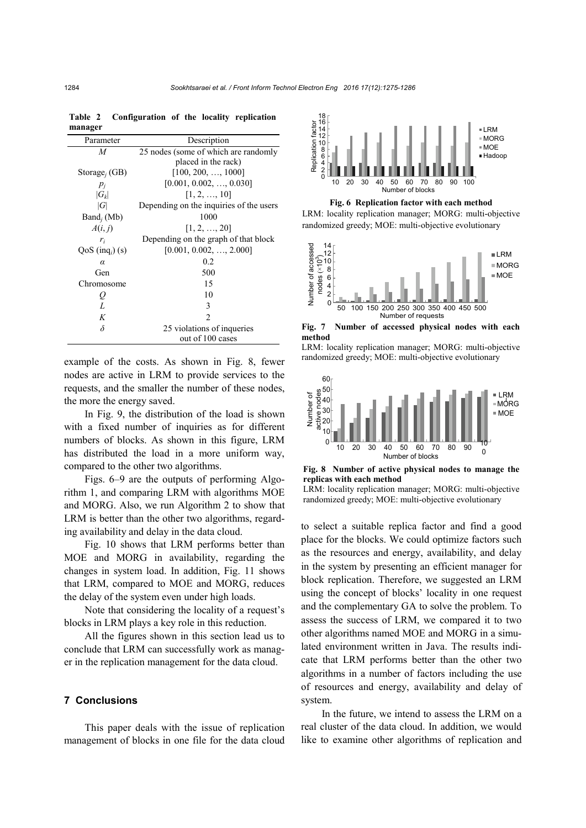| Parameter                     | Description                             |
|-------------------------------|-----------------------------------------|
| M                             | 25 nodes (some of which are randomly    |
|                               | placed in the rack)                     |
| Storage <sub>i</sub> (GB)     | $[100, 200, \ldots, 1000]$              |
| $p_i$                         | $[0.001, 0.002, \ldots, 0.030]$         |
| $ G_k $                       | [1, 2, , 10]                            |
| G                             | Depending on the inquiries of the users |
| $Bandj$ (Mb)                  | 1000                                    |
| A(i, j)                       | [1, 2, , 20]                            |
| $r_i$                         | Depending on the graph of that block    |
| $QoS$ (ing <sub>i</sub> ) (s) | $[0.001, 0.002, \ldots, 2.000]$         |
| $\alpha$                      | 0.2                                     |
| Gen                           | 500                                     |
| Chromosome                    | 15                                      |
| Q                             | 10                                      |
| L                             | 3                                       |
| K                             | $\mathfrak{D}$                          |
| $\delta$                      | 25 violations of inqueries              |
|                               | out of 100 cases                        |
|                               |                                         |

**Table 2 Configuration of the locality replication manager**

example of the costs. As shown in Fig. 8, fewer nodes are active in LRM to provide services to the requests, and the smaller the number of these nodes, the more the energy saved.

In Fig. 9, the distribution of the load is shown with a fixed number of inquiries as for different numbers of blocks. As shown in this figure, LRM has distributed the load in a more uniform way, compared to the other two algorithms.

Figs. 6–9 are the outputs of performing Algorithm 1, and comparing LRM with algorithms MOE and MORG. Also, we run Algorithm 2 to show that LRM is better than the other two algorithms, regarding availability and delay in the data cloud.

Fig. 10 shows that LRM performs better than MOE and MORG in availability, regarding the changes in system load. In addition, Fig. 11 shows that LRM, compared to MOE and MORG, reduces the delay of the system even under high loads.

Note that considering the locality of a request's blocks in LRM plays a key role in this reduction.

All the figures shown in this section lead us to conclude that LRM can successfully work as manager in the replication management for the data cloud.

# **7 Conclusions**

This paper deals with the issue of replication management of blocks in one file for the data cloud



**Fig. 6 Replication factor with each method** LRM: locality replication manager; MORG: multi-objective randomized greedy; MOE: multi-objective evolutionary



**Fig. 7 Number of accessed physical nodes with each method**

LRM: locality replication manager; MORG: multi-objective randomized greedy; MOE: multi-objective evolutionary



**Fig. 8 Number of active physical nodes to manage the replicas with each method**

LRM: locality replication manager; MORG: multi-objective randomized greedy; MOE: multi-objective evolutionary

to select a suitable replica factor and find a good place for the blocks. We could optimize factors such as the resources and energy, availability, and delay in the system by presenting an efficient manager for block replication. Therefore, we suggested an LRM using the concept of blocks' locality in one request and the complementary GA to solve the problem. To assess the success of LRM, we compared it to two other algorithms named MOE and MORG in a simulated environment written in Java. The results indicate that LRM performs better than the other two algorithms in a number of factors including the use of resources and energy, availability and delay of system.

In the future, we intend to assess the LRM on a real cluster of the data cloud. In addition, we would like to examine other algorithms of replication and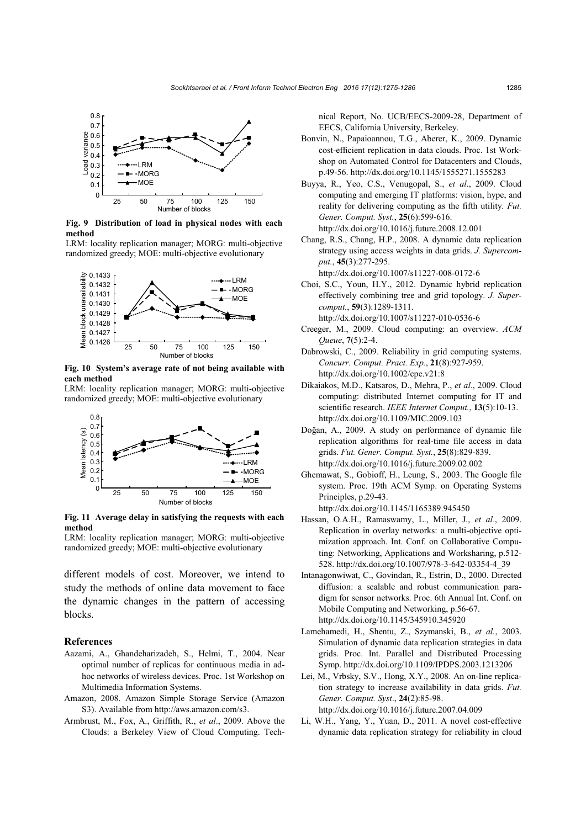

**Fig. 9 Distribution of load in physical nodes with each method**

LRM: locality replication manager; MORG: multi-objective randomized greedy; MOE: multi-objective evolutionary



**Fig. 10 System's average rate of not being available with each method**

LRM: locality replication manager; MORG: multi-objective randomized greedy; MOE: multi-objective evolutionary



**Fig. 11 Average delay in satisfying the requests with each method**

LRM: locality replication manager; MORG: multi-objective randomized greedy; MOE: multi-objective evolutionary

different models of cost. Moreover, we intend to study the methods of online data movement to face the dynamic changes in the pattern of accessing blocks.

#### **References**

- Aazami, A., Ghandeharizadeh, S., Helmi, T., 2004. Near optimal number of replicas for continuous media in adhoc networks of wireless devices. Proc. 1st Workshop on Multimedia Information Systems.
- Amazon, 2008. Amazon Simple Storage Service (Amazon S3). Available from http://aws.amazon.com/s3.
- Armbrust, M., Fox, A., Griffith, R., *et al*., 2009. Above the Clouds: a Berkeley View of Cloud Computing. Tech-

nical Report, No. UCB/EECS-2009-28, Department of EECS, California University, Berkeley.

- Bonvin, N., Papaioannou, T.G., Aberer, K., 2009. Dynamic cost-efficient replication in data clouds. Proc. 1st Workshop on Automated Control for Datacenters and Clouds, p.49-56. http://dx.doi.org/10.1145/1555271.1555283
- Buyya, R., Yeo, C.S., Venugopal, S., *et al*., 2009. Cloud computing and emerging IT platforms: vision, hype, and reality for delivering computing as the fifth utility. *Fut. Gener. Comput. Syst.*, **25**(6):599-616.

http://dx.doi.org/10.1016/j.future.2008.12.001

Chang, R.S., Chang, H.P., 2008. A dynamic data replication strategy using access weights in data grids. *J. Supercomput.*, **45**(3):277-295.

http://dx.doi.org/10.1007/s11227-008-0172-6

- Choi, S.C., Youn, H.Y., 2012. Dynamic hybrid replication effectively combining tree and grid topology. *J. Supercomput.*, **59**(3):1289-1311. http://dx.doi.org/10.1007/s11227-010-0536-6
- Creeger, M., 2009. Cloud computing: an overview. *ACM Queue*, **7**(5):2-4.
- Dabrowski, C., 2009. Reliability in grid computing systems. *Concurr. Comput. Pract. Exp.*, **21**(8):927-959. http://dx.doi.org/10.1002/cpe.v21:8
- Dikaiakos, M.D., Katsaros, D., Mehra, P., *et al*., 2009. Cloud computing: distributed Internet computing for IT and scientific research. *IEEE Internet Comput.*, **13**(5):10-13. http://dx.doi.org/10.1109/MIC.2009.103
- Doğan, A., 2009. A study on performance of dynamic file replication algorithms for real-time file access in data grids. *Fut. Gener. Comput. Syst.*, **25**(8):829-839. http://dx.doi.org/10.1016/j.future.2009.02.002
- Ghemawat, S., Gobioff, H., Leung, S., 2003. The Google file system. Proc. 19th ACM Symp. on Operating Systems Principles, p.29-43. http://dx.doi.org/10.1145/1165389.945450
- Hassan, O.A.H., Ramaswamy, L., Miller, J., *et al*., 2009. Replication in overlay networks: a multi-objective optimization approach. Int. Conf. on Collaborative Computing: Networking, Applications and Worksharing, p.512- 528. http://dx.doi.org/10.1007/978-3-642-03354-4\_39
- Intanagonwiwat, C., Govindan, R., Estrin, D., 2000. Directed diffusion: a scalable and robust communication paradigm for sensor networks. Proc. 6th Annual Int. Conf. on Mobile Computing and Networking, p.56-67. http://dx.doi.org/10.1145/345910.345920
- Lamehamedi, H., Shentu, Z., Szymanski, B., *et al.*, 2003. Simulation of dynamic data replication strategies in data grids. Proc. Int. Parallel and Distributed Processing Symp. http://dx.doi.org/10.1109/IPDPS.2003.1213206
- Lei, M., Vrbsky, S.V., Hong, X.Y., 2008. An on-line replication strategy to increase availability in data grids. *Fut. Gener. Comput. Syst*., **24**(2):85-98. http://dx.doi.org/10.1016/j.future.2007.04.009
- Li, W.H., Yang, Y., Yuan, D., 2011. A novel cost-effective dynamic data replication strategy for reliability in cloud